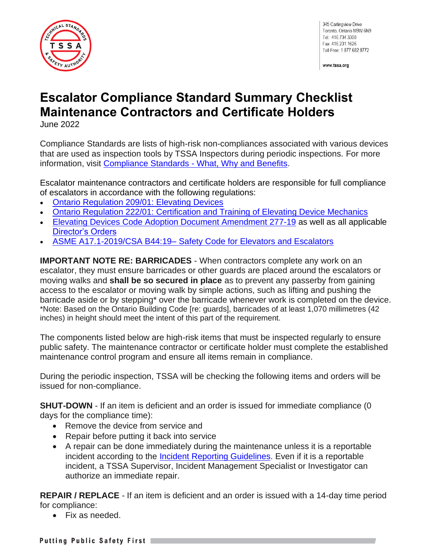

345 Carlingview Drive Toronto. Ontario M9W 6N9 Tel.: 416.734.3300 Fax: 416.231.1626 Toll Free: 1.877.682.8772

www.tssa.org

## **Escalator Compliance Standard Summary Checklist Maintenance Contractors and Certificate Holders**

June 2022

Compliance Standards are lists of high-risk non-compliances associated with various devices that are used as inspection tools by TSSA Inspectors during periodic inspections. For more information, visit Compliance Standards - [What, Why and Benefits.](https://www.tssa.org/en/about-tssa/compliance-standards---what--why--benefits.aspx)

Escalator maintenance contractors and certificate holders are responsible for full compliance of escalators in accordance with the following regulations:

- [Ontario Regulation 209/01: Elevating Devices](https://www.ontario.ca/laws/regulation/010209)
- [Ontario Regulation 222/01: Certification and Training of Elevating Device Mechanics](https://www.ontario.ca/laws/regulation/r01222)
- [Elevating Devices Code Adoption Document Amendment 277-19](https://www.tssa.org/en/elevating-devices/resources/Documents/ED-277-19-CAD.pdf) as well as all applicable [Director's Orders](https://www.tssa.org/en/elevating-devices/legislation-and-regulatory-information.aspx)
- ASME A17.1-2019/CSA B44:19– [Safety Code for Elevators and Escalators](https://www.csagroup.org/store/search-results/?search=all~~ASME%20A17.1-2019/CSA%20B44:19)

**IMPORTANT NOTE RE: BARRICADES** - When contractors complete any work on an escalator, they must ensure barricades or other guards are placed around the escalators or moving walks and **shall be so secured in place** as to prevent any passerby from gaining access to the escalator or moving walk by simple actions, such as lifting and pushing the barricade aside or by stepping\* over the barricade whenever work is completed on the device. \*Note: Based on the Ontario Building Code [re: guards], barricades of at least 1,070 millimetres (42 inches) in height should meet the intent of this part of the requirement.

The components listed below are high-risk items that must be inspected regularly to ensure public safety. The maintenance contractor or certificate holder must complete the established maintenance control program and ensure all items remain in compliance.

During the periodic inspection, TSSA will be checking the following items and orders will be issued for non-compliance.

**SHUT-DOWN** - If an item is deficient and an order is issued for immediate compliance (0) days for the compliance time):

- Remove the device from service and
- Repair before putting it back into service
- A repair can be done immediately during the maintenance unless it is a reportable incident according to the [Incident Reporting Guidelines.](https://www.tssa.org/en/elevating-devices/resources/Documents/ED-Guideline-for-Incident-Reporting.pdf) Even if it is a reportable incident, a TSSA Supervisor, Incident Management Specialist or Investigator can authorize an immediate repair.

**REPAIR / REPLACE** - If an item is deficient and an order is issued with a 14-day time period for compliance:

• Fix as needed.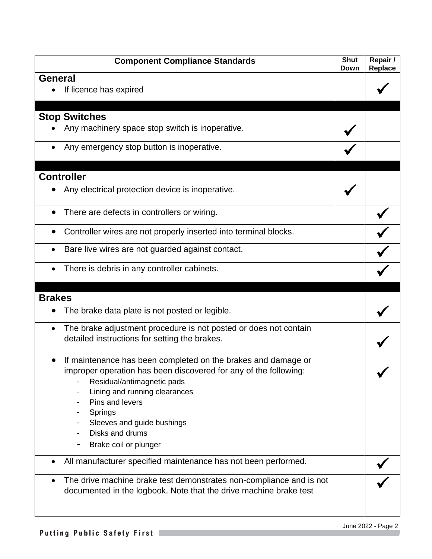| <b>Component Compliance Standards</b>                                                                                                                                                                                                                                                                    | <b>Shut</b><br>Down | Repair /<br><b>Replace</b> |
|----------------------------------------------------------------------------------------------------------------------------------------------------------------------------------------------------------------------------------------------------------------------------------------------------------|---------------------|----------------------------|
| <b>General</b><br>If licence has expired                                                                                                                                                                                                                                                                 |                     |                            |
| <b>Stop Switches</b>                                                                                                                                                                                                                                                                                     |                     |                            |
| Any machinery space stop switch is inoperative.                                                                                                                                                                                                                                                          |                     |                            |
| Any emergency stop button is inoperative.                                                                                                                                                                                                                                                                |                     |                            |
| <b>Controller</b>                                                                                                                                                                                                                                                                                        |                     |                            |
| Any electrical protection device is inoperative.                                                                                                                                                                                                                                                         |                     |                            |
| There are defects in controllers or wiring.                                                                                                                                                                                                                                                              |                     |                            |
| Controller wires are not properly inserted into terminal blocks.                                                                                                                                                                                                                                         |                     |                            |
| Bare live wires are not guarded against contact.                                                                                                                                                                                                                                                         |                     |                            |
| There is debris in any controller cabinets.<br>٠                                                                                                                                                                                                                                                         |                     |                            |
| <b>Brakes</b>                                                                                                                                                                                                                                                                                            |                     |                            |
| The brake data plate is not posted or legible.                                                                                                                                                                                                                                                           |                     |                            |
| The brake adjustment procedure is not posted or does not contain<br>$\bullet$<br>detailed instructions for setting the brakes.                                                                                                                                                                           |                     |                            |
| If maintenance has been completed on the brakes and damage or<br>improper operation has been discovered for any of the following:<br>Residual/antimagnetic pads<br>Lining and running clearances<br>Pins and levers<br>Springs<br>Sleeves and guide bushings<br>Disks and drums<br>Brake coil or plunger |                     |                            |
| All manufacturer specified maintenance has not been performed.                                                                                                                                                                                                                                           |                     |                            |
| The drive machine brake test demonstrates non-compliance and is not<br>documented in the logbook. Note that the drive machine brake test                                                                                                                                                                 |                     |                            |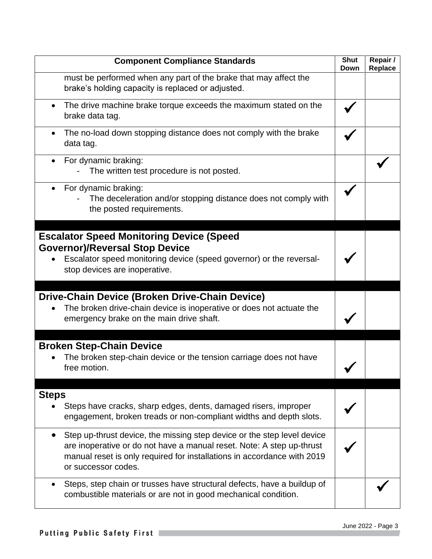| <b>Component Compliance Standards</b>                                                                                                                                                                                                              | <b>Shut</b><br>Down | Repair /<br>Replace |
|----------------------------------------------------------------------------------------------------------------------------------------------------------------------------------------------------------------------------------------------------|---------------------|---------------------|
| must be performed when any part of the brake that may affect the<br>brake's holding capacity is replaced or adjusted.                                                                                                                              |                     |                     |
| The drive machine brake torque exceeds the maximum stated on the<br>brake data tag.                                                                                                                                                                |                     |                     |
| The no-load down stopping distance does not comply with the brake<br>$\bullet$<br>data tag.                                                                                                                                                        |                     |                     |
| For dynamic braking:<br>The written test procedure is not posted.                                                                                                                                                                                  |                     |                     |
| For dynamic braking:<br>The deceleration and/or stopping distance does not comply with<br>the posted requirements.                                                                                                                                 |                     |                     |
| <b>Escalator Speed Monitoring Device (Speed</b>                                                                                                                                                                                                    |                     |                     |
| <b>Governor)/Reversal Stop Device</b>                                                                                                                                                                                                              |                     |                     |
| Escalator speed monitoring device (speed governor) or the reversal-<br>stop devices are inoperative.                                                                                                                                               |                     |                     |
| Drive-Chain Device (Broken Drive-Chain Device)                                                                                                                                                                                                     |                     |                     |
| The broken drive-chain device is inoperative or does not actuate the<br>emergency brake on the main drive shaft.                                                                                                                                   |                     |                     |
| <b>Broken Step-Chain Device</b>                                                                                                                                                                                                                    |                     |                     |
| The broken step-chain device or the tension carriage does not have<br>free motion.                                                                                                                                                                 |                     |                     |
|                                                                                                                                                                                                                                                    |                     |                     |
| <b>Steps</b><br>Steps have cracks, sharp edges, dents, damaged risers, improper<br>engagement, broken treads or non-compliant widths and depth slots.                                                                                              |                     |                     |
| Step up-thrust device, the missing step device or the step level device<br>are inoperative or do not have a manual reset. Note: A step up-thrust<br>manual reset is only required for installations in accordance with 2019<br>or successor codes. |                     |                     |
| Steps, step chain or trusses have structural defects, have a buildup of<br>combustible materials or are not in good mechanical condition.                                                                                                          |                     |                     |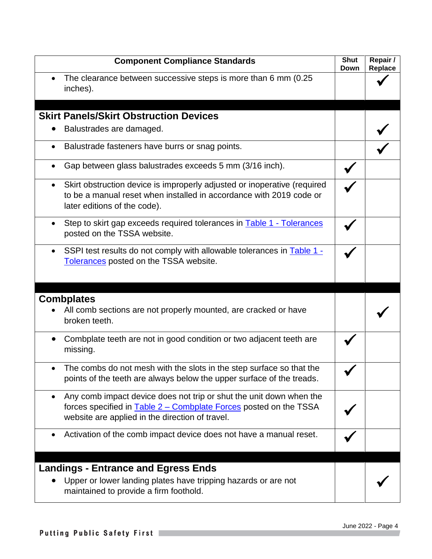| <b>Component Compliance Standards</b>                                                                                                                                                              | <b>Shut</b><br><b>Down</b> | Repair /<br>Replace |
|----------------------------------------------------------------------------------------------------------------------------------------------------------------------------------------------------|----------------------------|---------------------|
| The clearance between successive steps is more than 6 mm (0.25)<br>inches).                                                                                                                        |                            |                     |
|                                                                                                                                                                                                    |                            |                     |
| <b>Skirt Panels/Skirt Obstruction Devices</b>                                                                                                                                                      |                            |                     |
| Balustrades are damaged.                                                                                                                                                                           |                            |                     |
| Balustrade fasteners have burrs or snag points.<br>$\bullet$                                                                                                                                       |                            |                     |
| Gap between glass balustrades exceeds 5 mm (3/16 inch).                                                                                                                                            |                            |                     |
| Skirt obstruction device is improperly adjusted or inoperative (required<br>$\bullet$<br>to be a manual reset when installed in accordance with 2019 code or<br>later editions of the code).       |                            |                     |
| Step to skirt gap exceeds required tolerances in Table 1 - Tolerances<br>posted on the TSSA website.                                                                                               |                            |                     |
| SSPI test results do not comply with allowable tolerances in Table 1 -<br>Tolerances posted on the TSSA website.                                                                                   |                            |                     |
|                                                                                                                                                                                                    |                            |                     |
| <b>Combplates</b><br>All comb sections are not properly mounted, are cracked or have<br>broken teeth.                                                                                              |                            |                     |
| Combplate teeth are not in good condition or two adjacent teeth are<br>missing.                                                                                                                    |                            |                     |
| The combs do not mesh with the slots in the step surface so that the<br>points of the teeth are always below the upper surface of the treads.                                                      |                            |                     |
| Any comb impact device does not trip or shut the unit down when the<br>forces specified in <b>Table 2 – Combplate Forces</b> posted on the TSSA<br>website are applied in the direction of travel. |                            |                     |
| Activation of the comb impact device does not have a manual reset.<br>$\bullet$                                                                                                                    |                            |                     |
|                                                                                                                                                                                                    |                            |                     |
| <b>Landings - Entrance and Egress Ends</b>                                                                                                                                                         |                            |                     |
| Upper or lower landing plates have tripping hazards or are not<br>maintained to provide a firm foothold.                                                                                           |                            |                     |